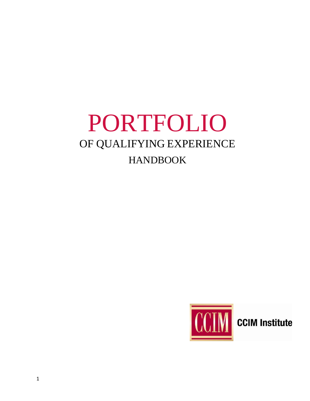# PORTFOLIO OF QUALIFYING EXPERIENCE HANDBOOK



**CCIM Institute**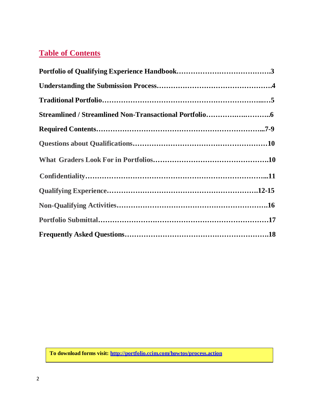## **Table of Contents**

**To download forms visit:<http://portfolio.ccim.com/howtos/process.action>**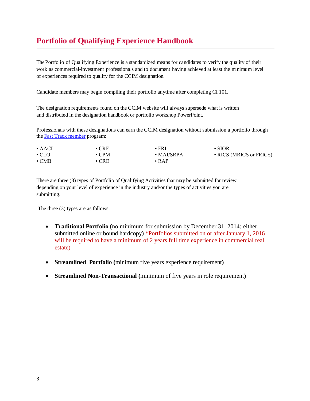## **Portfolio of Qualifying Experience Handbook**

The Portfolio of Qualifying Experience is a standardized means for candidates to verify the quality of their work as commercial-investment professionals and to document having achieved at least the minimum level of experiences required to qualify for the CCIM designation.

Candidate members may begin compiling their portfolio anytime after completing CI 101.

The designation requirements found on the CCIM website will always supersede what is written and distributed in the designation handbook or portfolio workshop PowerPoint.

Professionals with these designations can earn the CCIM designation without submission a portfolio through the [Fast Track member](http://www.ccim.com/membership/fast-track) program:

| $\bullet$ AACI | $\cdot$ CRF | • FRI       | $\cdot$ SIOR            |
|----------------|-------------|-------------|-------------------------|
| $\cdot$ CLO    | $\cdot$ CPM | • MAI/SRPA  | • RICS (MRICS or FRICS) |
| $\cdot$ CMB    | $\cdot$ CRE | $\cdot$ RAP |                         |

There are three (3) types of Portfolio of Qualifying Activities that may be submitted for review depending on your level of experience in the industry and/or the types of activities you are submitting.

The three (3) types are as follows:

- **Traditional Portfolio (**no minimum for submission by December 31, 2014; either submitted online or bound hardcopy**)** \*Portfolios submitted on or after January 1, 2016 will be required to have a minimum of 2 years full time experience in commercial real estate)
- **Streamlined Portfolio (**minimum five years experience requirement**)**
- **Streamlined Non-Transactional (**minimum of five years in role requirement**)**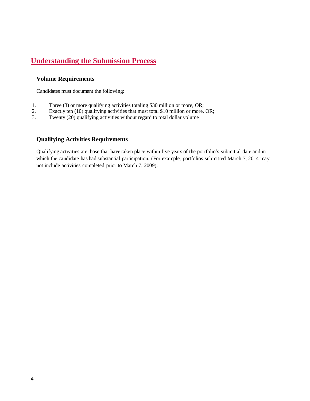## **Understanding the Submission Process**

#### **Volume Requirements**

Candidates must document the following:

- 1. Three (3) or more qualifying activities totaling \$30 million or more, OR;
- 2. Exactly ten (10) qualifying activities that must total \$10 million or more, OR;<br>3. Twenty (20) qualifying activities without regard to total dollar volume
- Twenty (20) qualifying activities without regard to total dollar volume

## **Qualifying Activities Requirements**

Qualifying activities are those that have taken place within five years of the portfolio's submittal date and in which the candidate has had substantial participation. (For example, portfolios submitted March 7, 2014 may not include activities completed prior to March 7, 2009).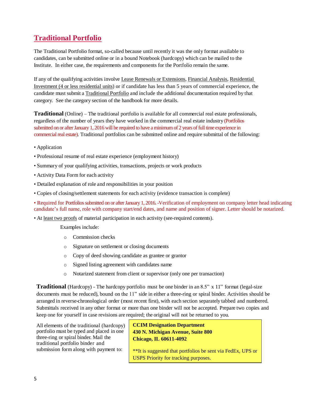## **Traditional Portfolio**

The Traditional Portfolio format, so-called because until recently it was the only format available to candidates, can be submitted online or in a bound Notebook (hardcopy) which can be mailed to the Institute. In either case, the requirements and components for the Portfolio remain the same.

If any of the qualifying activities involve Lease Renewals or Extensions, Financial Analysis, Residential Investment (4 or less residential units) or if candidate has less than 5 years of commercial experience, the candidate must submit a Traditional Portfolio and include the additional documentation required by that category. See the category section of the handbook for more details.

**Traditional** (Online) – The traditional portfolio is available for all commercial real estate professionals, regardless of the number of years they have worked in the commercial real estate industry (Portfolios submitted on or after January 1, 2016 will be required to have a minimum of 2 years of full time experience in commercial real estate). Traditional portfolios can be submitted online and require submittal of the following:

- Application
- Professional resume of real estate experience (employment history)
- Summary of your qualifying activities, transactions, projects or work products
- Activity Data Form for each activity
- Detailed explanation of role and responsibilities in your position
- Copies of closing/settlement statements for each activity (evidence transaction is complete)

• Required for Portfolios submitted on or after January 1, 2016. -Verification of employment on company letter head indicating candidate's full name, role with company start/end dates, and name and position of signer. Letter should be notarized.

• At least two proofs of material participation in each activity (see-required contents).

Examples include:

- o Commission checks
- o Signature on settlement or closing documents
- o Copy of deed showing candidate as grantee or grantor
- o Signed listing agreement with candidates name
- o Notarized statement from client or supervisor (only one per transaction)

**Traditional** (Hardcopy) - The hardcopy portfolio must be one binder in an 8.5" x 11" format (legal-size documents must be reduced), bound on the 11" side in either a three-ring or spiral binder. Activities should be arranged in reverse-chronological order (most recent first), with each section separately tabbed and numbered. Submittals received in any other format or more than one binder will not be accepted. Prepare two copies and keep one for yourself in case revisions are required; the original will not be returned to you.

All elements of the traditional (hardcopy) portfolio must be typed and placed in one three-ring or spiral binder. Mail the traditional portfolio binder and submission form along with payment to:

**CCIM Designation Department 430 N. Michigan Avenue, Suite 800 Chicago, IL 60611-4092**

\*\*It is suggested that portfolios be sent via FedEx, UPS or USPS Priority for tracking purposes.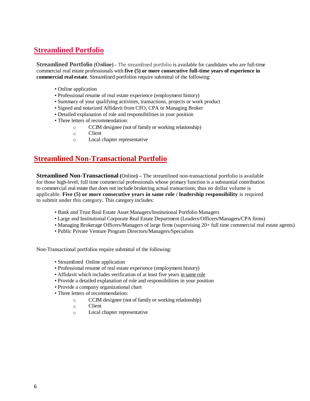## **Streamlined Portfolio**

**Streamlined Portfolio (Online) -** The streamlined portfolio is available for candidates who are full-time commercial real estate professionals with **five (5) or more consecutive full-time years of experience in commercial real estate**. Streamlined portfolios require submittal of the following:

- Online application
- Professional resume of real estate experience (employment history)
- Summary of your qualifying activities, transactions, projects or work product
- Signed and notarized Affidavit from CFO, CPA or Managing Broker
- Detailed explanation of role and responsibilities in your position
- Three letters of recommendation:
	- o CCIM designee (not of family or working relationship)
	- o Client
	- o Local chapter representative

## **Streamlined Non-Transactional Portfolio**

**Streamlined Non-Transactional (**Online**) –** The streamlined non-transactional portfolio is available for those high-level, full time commercial professionals whose primary function is a substantial contribution to commercial real estate that does not include brokering actual transactions; thus no dollar volume is applicable. **Five (5) or more consecutive years in same role / leadership responsibility** is required to submit under this category**.** This category includes:

- Bank and Trust Real Estate Asset Managers/Institutional Portfolio Managers
- Large and Institutional Corporate Real Estate Department (Leaders/Officers/Managers/CPA firms)
- Managing Brokerage Officers/Managers of large firms (supervising 20+ full time commercial real estate agents)
- Public Private Venture Program Directors/Managers/Specialists

Non-Transactional portfolios require submittal of the following:

- Streamlined Online application
- Professional resume of real estate experience (employment history)
- Affidavit which includes verification of at least five years in same role
- Provide a detailed explanation of role and responsibilities in your position
- Provide a company organizational chart
- Three letters of recommendation:
	- o CCIM designee (not of family or working relationship)
		- o Client
	- o Local chapter representative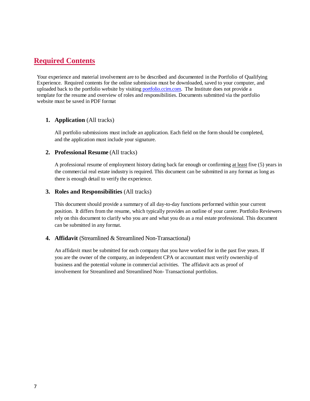## **Required Contents**

Your experience and material involvement are to be described and documented in the Portfolio of Qualifying Experience. Required contents for the online submission must be downloaded, saved to your computer, and uploaded back to the portfolio website by visiting [portfolio.ccim.com.](http://portfolio.ccim.com/howtos/process.action) The Institute does not provide a template for the resume and overview of roles and responsibilities. Documents submitted via the portfolio website must be saved in PDF format

#### **1. Application** (All tracks)

All portfolio submissions must include an application. Each field on the form should be completed, and the application must include your signature.

#### **2. Professional Resume** (All tracks)

A professional resume of employment history dating back far enough or confirming at least five (5) years in the commercial real estate industry is required. This document can be submitted in any format as long as there is enough detail to verify the experience.

#### **3. Roles and Responsibilities** (All tracks)

This document should provide a summary of all day-to-day functions performed within your current position. It differs from the resume, which typically provides an outline of your career. Portfolio Reviewers rely on this document to clarify who you are and what you do as a real estate professional. This document can be submitted in any format.

#### **4. Affidavit** (Streamlined & Streamlined Non-Transactional)

An affidavit must be submitted for each company that you have worked for in the past five years. If you are the owner of the company, an independent CPA or accountant must verify ownership of business and the potential volume in commercial activities. The affidavit acts as proof of involvement for Streamlined and Streamlined Non- Transactional portfolios.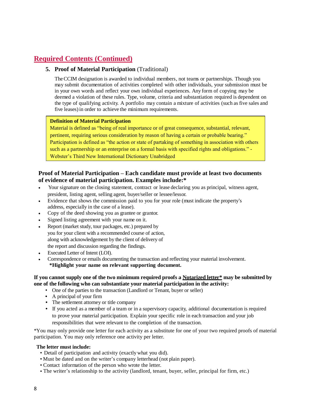## **Required Contents (Continued)**

## **5. Proof of Material Participation** (Traditional)

TheCCIM designation is awarded to individual members, not teams or partnerships. Though you may submit documentation of activities completed with other individuals, your submission must be in your own words and reflect your own individual experiences. Any form of copying may be deemed a violation of these rules. Type, volume, criteria and substantiation required is dependent on the type of qualifying activity. A portfolio may contain a mixture of activities (such as five sales and five leases)in order to achieve the minimum requirements.

#### **Definition of Material Participation**

Material is defined as "being of real importance or of great consequence, substantial, relevant, pertinent, requiring serious consideration by reason of having a certain or probable bearing." Participation is defined as "the action or state of partaking of something in association with others such as a partnership or an enterprise on a formal basis with specified rights and obligations." - Webster's Third New International Dictionary Unabridged

## **Proof of Material Participation – Each candidate must provide at least two documents of evidence of material participation. Examples include:\***

- Your signature on the closing statement, contract or lease declaring you as principal, witness agent, president, listing agent, selling agent, buyer/seller or lessee/lessor.
- Evidence that shows the commission paid to you for your role (must indicate the property's address, especially in the case of a lease).
- Copy of the deed showing you as grantee or grantor.
- Signed listing agreement with your name on it.
- Report (market study, tour packages, etc.) prepared by you for your client with a recommended course of action, along with acknowledgement by the client of delivery of the report and discussion regarding the findings.
- Executed Letter of Intent (LOI).
- Correspondence or emails documenting the transaction and reflecting your material involvement. **\*Highlight your name on relevant supporting document.**

#### If you cannot supply one of the two minimum required proofs a Notarized letter $*$  may be submitted by **one of the following who can substantiate your material participation in the activity:**

- One of the parties to the transaction (Landlord or Tenant, buyer or seller)
- A principal of your firm
- The settlement attorney or title company
- If you acted as a member of a team or in a supervisory capacity, additional documentation is required to prove your material participation. Explain your specific role in each transaction and your job responsibilities that were relevant to the completion of the transaction.

\*You may only provide one letter for each activity as a substitute for one of your two required proofs of material participation. You may only reference one activity per letter.

#### **The letter must include:**

- Detail of participation and activity (exactly what you did).
- Must be dated and on the writer's company letterhead (not plain paper).
- Contact information of the person who wrote the letter.
- The writer's relationship to the activity (landlord, tenant, buyer, seller, principal for firm, etc.)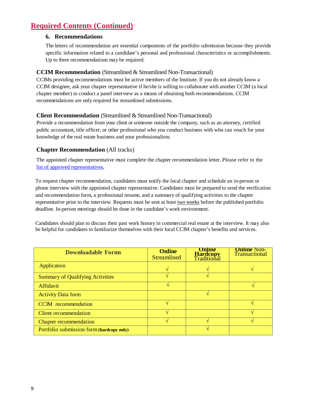## **Required Contents (Continued)**

## **6. Recommendations**

The letters of recommendation are essential components of the portfolio submission because they provide specific information related to a candidate's personal and professional characteristics or accomplishments. Up to three recommendations may be required.

## **CCIM Recommendation** (Streamlined & Streamlined Non-Transactional)

CCIMs providing recommendations must be active members of the Institute. If you do not already know a CCIM designee, ask your chapter representative if he/she is willing to collaborate with another CCIM (a local chapter member) to conduct a panel interview as a means of obtaining both recommendations. CCIM recommendations are only required for streamlined submissions.

## **Client Recommendation** (Streamlined & Streamlined Non-Transactional)

Provide a recommendation from your client orsomeone outside the company, such as an attorney, certified public accountant, title officer, or other professional who you conduct business with who can vouch for your knowledge of the real estate business and your professionalism.

## **Chapter Recommendation** (All tracks)

The appointed chapter representative must complete the chapter recommendation letter. Please refer to the [list of approved representatives](http://portfolio.ccim.com/pdf/Auth_Chap_Reps.pdf)**.**

To request chapter recommendation, candidates must notify the local chapter and schedule an in-person or phone interview with the appointed chapter representative. Candidates must be prepared to send the verification and recommendation form, a professional resume, and a summary of qualifying activities to the chapter representative prior to the interview. Requests must be sent at least two weeks before the published portfolio deadline. In-person meetings should be done in the candidate's work environment.

Candidates should plan to discuss their past work history in commercial real estate at the interview. It may also be helpful for candidates to familiarize themselves with their local CCIM chapter's benefits and services.

| <b>Downloadable Forms</b>                 | <b>Online</b><br><b>Streamlined</b> | <b>Online</b><br><b>Hardcopy</b><br>Traditional | <b>Online Non-</b><br><b>Transactional</b> |
|-------------------------------------------|-------------------------------------|-------------------------------------------------|--------------------------------------------|
| Application                               |                                     |                                                 |                                            |
| <b>Summary of Qualifying Activities</b>   |                                     |                                                 |                                            |
| Affidavit                                 |                                     |                                                 |                                            |
| <b>Activity Data form</b>                 |                                     |                                                 |                                            |
| <b>CCIM</b> recommendation                |                                     |                                                 |                                            |
| <b>Client recommendation</b>              |                                     |                                                 |                                            |
| <b>Chapter recommendation</b>             |                                     |                                                 |                                            |
| Portfolio submission form (hardcopy only) |                                     |                                                 |                                            |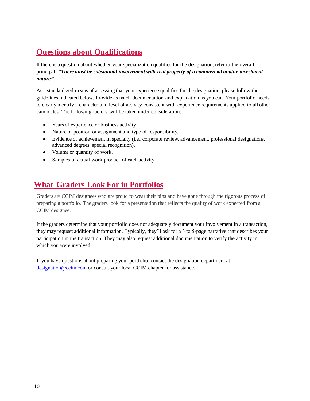## **Questions about Qualifications**

If there is a question about whether your specialization qualifies for the designation, refer to the overall principal: *"There must be substantial involvement with real property of a commercial and/or investment nature"*

As a standardized means of assessing that your experience qualifies for the designation, please follow the guidelines indicated below. Provide as much documentation and explanation as you can. Your portfolio needs to clearly identify a character and level of activity consistent with experience requirements applied to all other candidates. The following factors will be taken under consideration:

- Years of experience or business activity.
- Nature of position or assignment and type of responsibility.
- Evidence of achievement in specialty (i.e., corporate review, advancement, professional designations, advanced degrees, special recognition).
- Volume or quantity of work.
- Samples of actual work product of each activity

## **What Graders Look For in Portfolios**

Graders are CCIM designees who are proud to wear their pins and have gone through the rigorous process of preparing a portfolio. The graders look for a presentation that reflects the quality of work expected from a CCIM designee.

If the graders determine that your portfolio does not adequately document your involvement in a transaction, they may request additional information. Typically, they'll ask for a 3 to 5-page narrative that describes your participation in the transaction. They may also request additional documentation to verify the activity in which you were involved.

 If you have questions about preparing your portfolio, contact the designation department at [designation@ccim.com](mailto:designation@ccim.com) or consult your local CCIM chapter for assistance.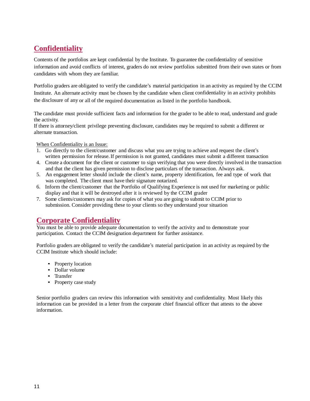## **Confidentiality**

Contents of the portfolios are kept confidential by the Institute. To guarantee the confidentiality of sensitive information and avoid conflicts of interest, graders do not review portfolios submitted from their own states or from candidates with whom they are familiar.

Portfolio graders are obligated to verify the candidate's material participation in an activity as required by the CCIM Institute. An alternate activity must be chosen by the candidate when client confidentiality in an activity prohibits the disclosure of any or all of the required documentation as listed in the portfolio handbook.

The candidate must provide sufficient facts and information for the grader to be able to read, understand and grade the activity.

If there is attorney/client privilege preventing disclosure, candidates may be required to submit a different or alternate transaction.

When Confidentiality is an Issue:

- 1. Go directly to the client/customer and discuss what you are trying to achieve and request the client's written permission for release.If permission is not granted, candidates must submit a different transaction
- 4. Create a document for the client or customer to sign verifying that you were directly involved in the transaction and that the client has given permission to disclose particulars of the transaction. Always ask.
- 5. An engagement letter should include the client's name, property identification, fee and type of work that was completed. The client must have their signature notarized.
- 6. Inform the client/customer that the Portfolio of Qualifying Experience is not used for marketing or public display and that it will be destroyed after it is reviewed by the CCIM grader
- 7. Some clients/customers may ask for copies of what you are going to submit to CCIM prior to submission. Consider providing these to your clients so they understand your situation

## **Corporate Confidentiality**

You must be able to provide adequate documentation to verify the activity and to demonstrate your participation. Contact the CCIM designation department for further assistance.

Portfolio graders are obligated to verify the candidate's material participation in an activity as required by the CCIM Institute which should include:

- Property location
- Dollar volume
- Transfer
- Property case study

Senior portfolio graders can review this information with sensitivity and confidentiality. Most likely this information can be provided in a letter from the corporate chief financial officer that attests to the above information.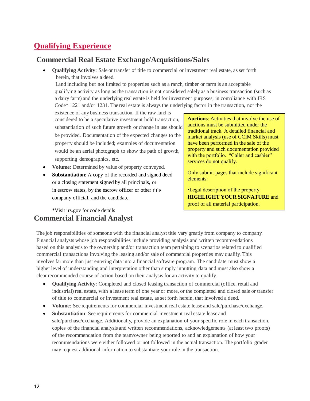## **Qualifying Experience**

## **Commercial Real Estate Exchange/Acquisitions/Sales**

 **Qualifying Activity**: Sale or transfer of title to commercial or investment real estate, as set forth herein, that involves a deed.

 Land including but not limited to properties such as a ranch, timber or farm is an acceptable qualifying activity as long as the transaction is not considered solely as a business transaction (such as a dairy farm) and the underlying real estate is held for investment purposes, in compliance with IRS Code\* 1221 and/or 1231. The real estate is always the underlying factor in the transaction, not the

existence of any business transaction. If the raw land is considered to be a speculative investment hold transaction, substantiation of such future growth or change in use should be provided. Documentation of the expected changes to the property should be included; examples of documentation would be an aerial photograph to show the path of growth, supporting demographics, etc.

- **Volume**: Determined by value of property conveyed.
- **Substantiation**: A copy of the recorded and signed deed or a closing statement signed by all principals, or in escrow states, by the escrow officer or other title company official, and the candidate.

**Auctions**: Activities that involve the use of auctions must be submitted under the traditional track. A detailed financial and market analysis (use of CCIM Skills) must have been performed in the sale of the property and such documentation provided with the portfolio. "Caller and cashier" services do not qualify.

Only submit pages that include significant elements:

•Legal description of the property. **HIGHLIGHT YOUR SIGNATURE** and proof of all material participation.

## \*Visit irs.gov for code details **Commercial Financial Analyst**

The job responsibilities of someone with the financial analyst title vary greatly from company to company. Financial analysts whose job responsibilities include providing analysis and written recommendations based on this analysisto the ownership and/or transaction team pertaining to scenarios related to qualified commercial transactions involving the leasing and/or sale of commercial properties may qualify. This involves far more than just entering data into a financial software program. The candidate must show a higher level of understanding and interpretation other than simply inputting data and must also show a clear recommended course of action based on their analysis for an activity to qualify.

- **Qualifying Activity**: Completed and closed leasing transaction of commercial (office, retail and industrial) real estate, with a lease term of one year or more, or the completed and closed sale or transfer of title to commercial or investment real estate, as set forth herein, that involved a deed.
- **Volume**: See requirements for commercial investment real estate lease and sale/purchase/exchange.
- **Substantiation**: See requirements for commercial investment real estate lease and sale/purchase/exchange. Additionally, provide an explanation of your specific role in each transaction, copies of the financial analysis and written recommendations, acknowledgements (at least two proofs) of the recommendation from the team/owner being reported to and an explanation of how your recommendations were either followed or not followed in the actual transaction. The portfolio grader may request additional information to substantiate your role in the transaction.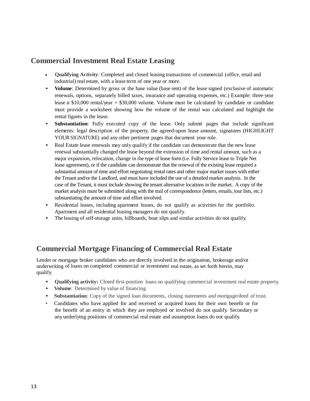## **Commercial Investment Real Estate Leasing**

- **Qualifying Activity**: Completed and closed leasing transactions of commercial (office, retail and industrial) real estate, with a lease term of one year or more.
- **• Volume**: Determined by gross or the base value (base rent) of the lease signed (exclusive of automatic renewals, options, separately billed taxes, insurance and operating expenses, etc.) Example: three-year lease at \$10,000 rental/year = \$30,000 volume. Volume must be calculated by candidate or candidate must provide a worksheet showing how the volume of the rental was calculated and highlight the rental figures in the lease.
- **• Substantiation**: Fully executed copy of the lease. Only submit pages that include significant elements: legal description of the property, the agreed-upon lease amount, signatures (HIGHLIGHT YOURSIGNATURE) and any other pertinent pages that document your role.
- Real Estate lease renewals may only qualify if the candidate can demonstrate that the new lease renewal substantially changed the lease beyond the extension of time and rental amount, such as a major expansion, relocation, change in the type of lease form (i.e. Fully Service lease to Triple Net lease agreement), or if the candidate can demonstrate that the renewal of the existing lease required a substantial amount of time and effort negotiating rental rates and other major market issues with either the Tenant and/or the Landlord, and must have included the use of a detailed market analysis. In the case of the Tenant, it must include showing the tenant alternative locations in the market. A copy of the market analysis must be submitted along with the trail of correspondence (letters, emails, tour lists, etc.) substantiating the amount of time and effort involved.
- Residential leases, including apartment leases, do not qualify as activities for the portfolio. Apartment and all residential leasing managers do not qualify.
- The leasing of self-storage units, billboards, boat slips and similar activities do not qualify.

## **Commercial Mortgage Financing of Commercial Real Estate**

Lender or mortgage broker candidates who are directly involved in the origination, brokerage and/or underwriting of loans on completed commercial or investment real estate, as set forth herein, may qualify.

- **• Qualifying activity:** Closed first-position loans on qualifying commercial investment real estate property.
- **• Volume**: Determined by value of financing
- **Substantiation**: Copy of the signed loan documents, closing statements and mortgage/deed of trust.
- Candidates who have applied for and received or acquired loans for their own benefit or for the benefit of an entity in which they are employed or involved do not qualify. Secondary or any underlying positions of commercial real estate and assumption loans do not qualify.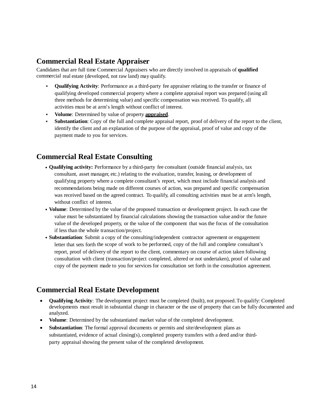## **Commercial Real Estate Appraiser**

Candidates that are full time Commercial Appraisers who are directly involved in appraisals of **qualified** commercial real estate (developed, not raw land) may qualify.

- **Qualifying Activity**: Performance as a third-party fee appraiser relating to the transfer or finance of qualifying developed commercial property where a complete appraisal report was prepared (using all three methods for determining value) and specific compensation was received. To qualify, all activities must be at arm's length without conflict of interest.
- **Volume**: Determined by value of property **appraised**.
- **Substantiation**: Copy of the full and complete appraisal report, proof of delivery of the report to the client, identify the client and an explanation of the purpose of the appraisal, proof of value and copy of the payment made to you for services.

## **Commercial Real Estate Consulting**

- **Qualifying activity:** Performance by a third-party fee consultant (outside financial analysis, tax consultant, asset manager, etc.) relating to the evaluation, transfer, leasing, or development of qualifying property where a complete consultant's report, which must include financial analysis and recommendations being made on different courses of action, was prepared and specific compensation was received based on the agreed contract. To qualify, all consulting activities must be at arm's length, without conflict of interest.
- **Volume**: Determined by the value of the proposed transaction or development project. In each case the value must be substantiated by financial calculations showing the transaction value and/or the future value of the developed property, or the value of the component that was the focus of the consultation if less than the whole transaction/project.
- **Substantiation**: Submit a copy of the consulting/independent contractor agreement or engagement letter that sets forth the scope of work to be performed, copy of the full and complete consultant's report, proof of delivery of the report to the client, commentary on course of action taken following consultation with client (transaction/project completed, altered or not undertaken), proof of value and copy of the payment made to you for services for consultation set forth in the consultation agreement.

## **Commercial Real Estate Development**

- **Qualifying Activity**: The development project must be completed (built), not proposed.To qualify: Completed developments must result in substantial change in character or the use of property that can be fully documented and analyzed.
- **Volume**: Determined by the substantiated market value of the completed development.
- **Substantiation**: The formal approval documents or permits and site/development plans as substantiated, evidence of actual closing(s), completed property transfers with a deed and/or thirdparty appraisal showing the present value of the completed development.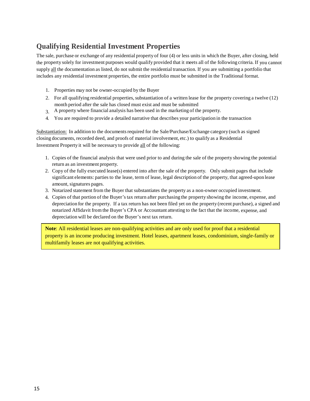## **Qualifying Residential Investment Properties**

The sale, purchase or exchange of any residential property of four (4) or less units in which the Buyer, after closing, held the property solely for investment purposes would qualify provided that it meets all of the following criteria. If you cannot supply all the documentation as listed, do not submit the residential transaction. If you are submitting a portfolio that includes any residential investment properties, the entire portfolio must be submitted in the Traditional format.

- 1. Properties may not be owner-occupied by the Buyer
- 2. For all qualifying residential properties, substantiation of a written lease for the property covering a twelve (12) month period after the sale has closed must exist and must be submitted
- 3. A property where financial analysis has been used in the marketing of the property.
- 4. You are required to provide a detailed narrative that describes your participation in the transaction

Substantiation: In addition to the documents required for the Sale/Purchase/Exchange category (such as signed closing documents, recorded deed, and proofs of material involvement, etc.) to qualify as a Residential Investment Property it will be necessary to provide all of the following:

- 1. Copies of the financial analysis that were used prior to and during the sale of the property showing the potential return as an investment property.
- 2. Copy of the fully executed lease(s) entered into after the sale of the property. Only submit pages that include significant elements: parties to the lease, term of lease, legal description of the property, that agreed-upon lease amount, signatures pages.
- 3. Notarized statement from the Buyer that substantiates the property as a non-owner occupied investment.
- 4. Copies of that portion of the Buyer'stax return after purchasing the property showing the income, expense, and depreciation for the property. If a tax return has not been filed yet on the property (recent purchase), a signed and notarized Affidavit from the Buyer's CPA or Accountant attesting to the fact that the income, expense, and depreciation will be declared on the Buyer's next tax return.

**Note**: All residential leases are non-qualifying activities and are only used for proof that a residential property is an income producing investment. Hotel leases, apartment leases, condominium, single-family or multifamily leases are not qualifying activities.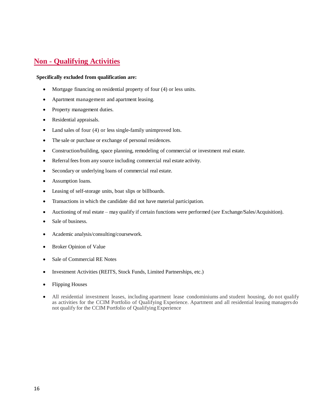## **Non - Qualifying Activities**

#### **Specifically excluded from qualification are:**

- Mortgage financing on residential property of four (4) or less units.
- Apartment management and apartment leasing.
- Property management duties.
- Residential appraisals.
- Land sales of four (4) or less single-family unimproved lots.
- The sale or purchase or exchange of personal residences.
- Construction/building, space planning, remodeling of commercial or investment real estate.
- Referral fees from any source including commercial real estate activity.
- Secondary or underlying loans of commercial real estate.
- Assumption loans.
- Leasing of self-storage units, boat slips or billboards.
- Transactions in which the candidate did not have material participation.
- Auctioning of real estate may qualify if certain functions were performed (*see* Exchange/Sales/Acquisition).
- Sale of business.
- Academic analysis/consulting/coursework.
- Broker Opinion of Value
- Sale of Commercial RE Notes
- Investment Activities (REITS, Stock Funds, Limited Partnerships, etc.)
- Flipping Houses
- All residential investment leases, including apartment lease condominiums and student housing, do not qualify as activities for the CCIM Portfolio of Qualifying Experience. Apartment and all residential leasing managers do not qualify for the CCIM Portfolio of Qualifying Experience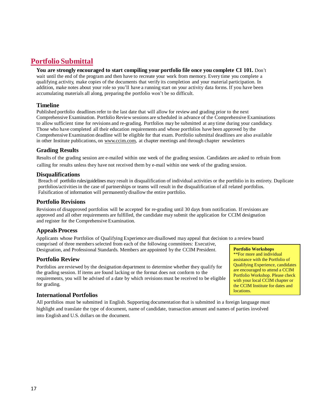## **Portfolio Submittal**

#### **You are strongly encouraged to start compiling your portfolio file once you complete CI 101.** Don't

wait until the end of the program and then have to recreate your work from memory. Every time you complete a qualifying activity, make copies of the documents that verify its completion and your material participation. In addition, make notes about your role so you'll have a running start on your activity data forms. If you have been accumulating materials all along, preparing the portfolio won't be so difficult.

#### **Timeline**

Published portfolio deadlines refer to the last date that will allow for review and grading prior to the next Comprehensive Examination. Portfolio Review sessions are scheduled in advance of the Comprehensive Examinations to allow sufficient time for revisions and re-grading. Portfolios may be submitted at any time during your candidacy. Those who have completed all their education requirements and whose portfolios have been approved by the Comprehensive Examination deadline will be eligible for that exam. Portfolio submittal deadlines are also available in other Institute publications, on [www.ccim.com,](http://www.ccim.com/) at chapter meetings and through chapter newsletters

#### **Grading Results**

 Results of the grading session are e-mailed within one week of the grading session. Candidates are asked to refrain from calling for results unless they have not received them by e-mail within one week of the grading session.

#### **Disqualifications**

Breach of portfolio rules/guidelines may result in disqualification of individual activities or the portfolio in its entirety. Duplicate portfolios/activitiesin the case of partnerships or teams will result in the disqualification of all related portfolios. Falsification of information will permanently disallow the entire portfolio.

#### **Portfolio Revisions**

Revisions of disapproved portfolios will be accepted for re-grading until 30 days from notification. If revisions are approved and all other requirements are fulfilled, the candidate may submit the application for CCIM designation and register for the Comprehensive Examination.

## **AppealsProcess**

Applicants whose Portfolios of Qualifying Experience are disallowed may appeal that decision to a review board comprised of three members selected from each of the following committees: Executive, Designation, and Professional Standards. Members are appointed by the CCIM President. **Portfolio Workshops** 

#### **Portfolio Review**

Portfolios are reviewed by the designation department to determine whether they qualify for the grading session. If items are found lacking or the format does not conform to the requirements, you will be advised of a date by which revisions must be received to be eligible for grading.

\*\*For more and individual assistance with the Portfolio of Qualifying Experience, candidates are encouraged to attend a CCIM Portfolio Workshop. Please check with your local CCIM chapter or the CCIM Institute for dates and locations.

## **International Portfolios**

All portfolios must be submitted in English. Supporting documentation that is submitted in a foreign language must highlight and translate the type of document, name of candidate, transaction amount and names of parties involved into English and U.S. dollars on the document.